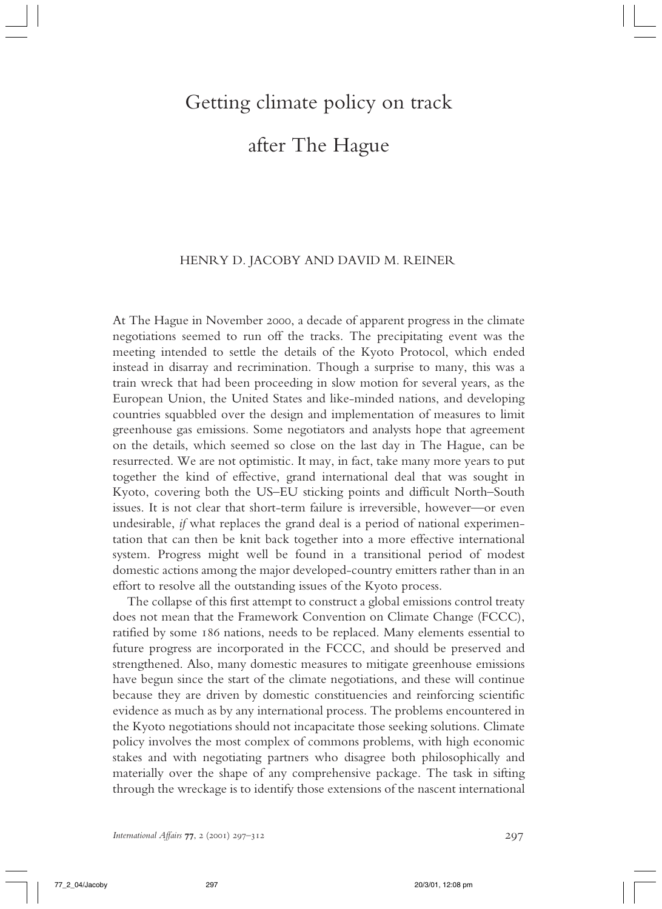# Getting climate policy on track

# after The Hague

# HENRY D. JACOBY AND DAVID M. REINER

effort to resolve all the outstanding issues of the Kyoto process. At The Hague in November 2000, a decade of apparent progress in the climate negotiations seemed to run off the tracks. The precipitating event was the meeting intended to settle the details of the Kyoto Protocol, which ended instead in disarray and recrimination. Though a surprise to many, this was a train wreck that had been proceeding in slow motion for several years, as the European Union, the United States and like-minded nations, and developing countries squabbled over the design and implementation of measures to limit greenhouse gas emissions. Some negotiators and analysts hope that agreement on the details, which seemed so close on the last day in The Hague, can be resurrected. We are not optimistic. It may, in fact, take many more years to put together the kind of effective, grand international deal that was sought in Kyoto, covering both the US–EU sticking points and difficult North–South issues. It is not clear that short-term failure is irreversible, however—or even undesirable, *if* what replaces the grand deal is a period of national experimentation that can then be knit back together into a more effective international system. Progress might well be found in a transitional period of modest domestic actions among the major developed-country emitters rather than in an

The collapse of this first attempt to construct a global emissions control treaty does not mean that the Framework Convention on Climate Change (FCCC), ratified by some 186 nations, needs to be replaced. Many elements essential to future progress are incorporated in the FCCC, and should be preserved and strengthened. Also, many domestic measures to mitigate greenhouse emissions have begun since the start of the climate negotiations, and these will continue because they are driven by domestic constituencies and reinforcing scientific evidence as much as by any international process. The problems encountered in the Kyoto negotiations should not incapacitate those seeking solutions. Climate policy involves the most complex of commons problems, with high economic stakes and with negotiating partners who disagree both philosophically and materially over the shape of any comprehensive package. The task in sifting through the wreckage is to identify those extensions of the nascent international

*International Affairs* **77**, 2 (2001) 297-312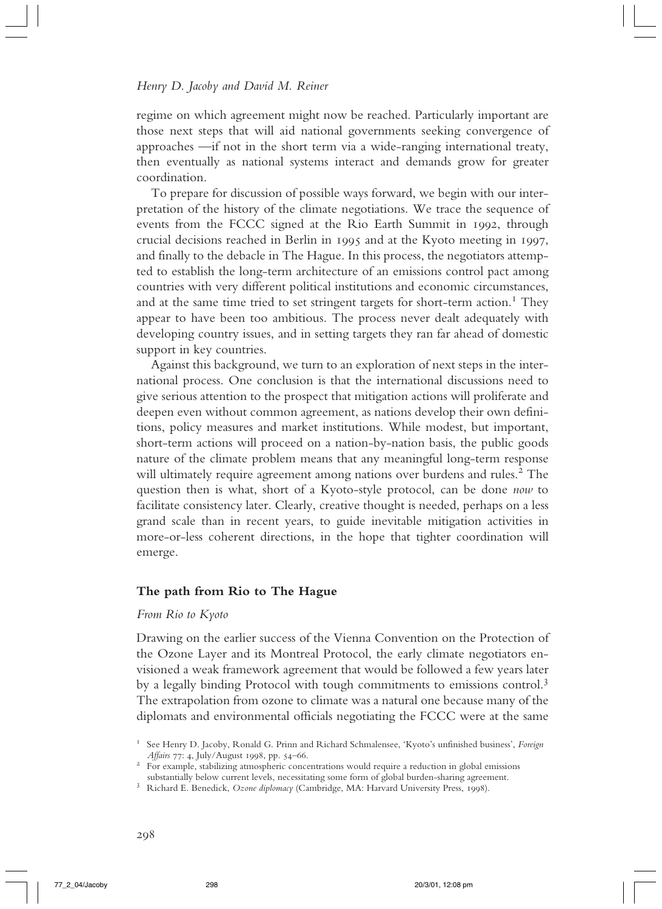regime on which agreement might now be reached. Particularly important are those next steps that will aid national governments seeking convergence of approaches —if not in the short term via a wide-ranging international treaty, then eventually as national systems interact and demands grow for greater coordination.

To prepare for discussion of possible ways forward, we begin with our interpretation of the history of the climate negotiations. We trace the sequence of events from the FCCC signed at the Rio Earth Summit in 1992, through crucial decisions reached in Berlin in 1995 and at the Kyoto meeting in 1997, and finally to the debacle in The Hague. In this process, the negotiators attempted to establish the long-term architecture of an emissions control pact among countries with very different political institutions and economic circumstances, and at the same time tried to set stringent targets for short-term action.<sup>I</sup> They appear to have been too ambitious. The process never dealt adequately with developing country issues, and in setting targets they ran far ahead of domestic support in key countries.

Against this background, we turn to an exploration of next steps in the international process. One conclusion is that the international discussions need to give serious attention to the prospect that mitigation actions will proliferate and deepen even without common agreement, as nations develop their own definitions, policy measures and market institutions. While modest, but important, short-term actions will proceed on a nation-by-nation basis, the public goods nature of the climate problem means that any meaningful long-term response will ultimately require agreement among nations over burdens and rules.<sup>2</sup> The question then is what, short of a Kyoto-style protocol, can be done *now* to facilitate consistency later. Clearly, creative thought is needed, perhaps on a less grand scale than in recent years, to guide inevitable mitigation activities in more-or-less coherent directions, in the hope that tighter coordination will emerge.

## **The path from Rio to The Hague**

#### *From Rio to Kyoto*

Drawing on the earlier success of the Vienna Convention on the Protection of the Ozone Layer and its Montreal Protocol, the early climate negotiators envisioned a weak framework agreement that would be followed a few years later by a legally binding Protocol with tough commitments to emissions control.<sup>3</sup> The extrapolation from ozone to climate was a natural one because many of the diplomats and environmental officials negotiating the FCCC were at the same

<sup>1</sup> See Henry D. Jacoby, Ronald G. Prinn and Richard Schmalensee, 'Kyoto's unfinished business', *Foreign Affairs* 77: 4, July/August 1998, pp. 54–66. <sup>2</sup> For example, stabilizing atmospheric concentrations would require a reduction in global emissions

substantially below current levels, necessitating some form of global burden-sharing agreement. <sup>3</sup> Richard E. Benedick, *Ozone diplomacy* (Cambridge, MA: Harvard University Press, 1998).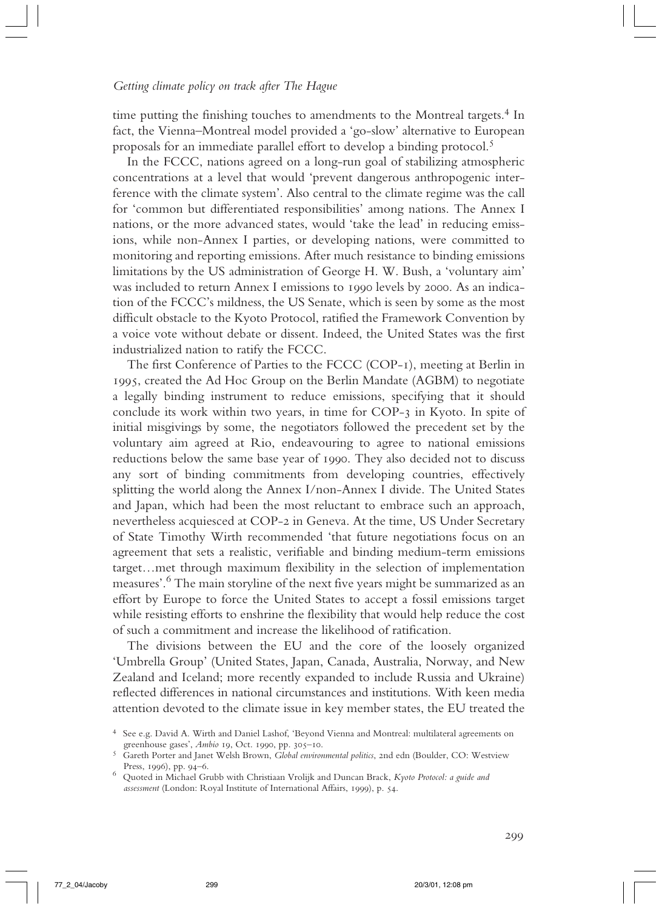time putting the finishing touches to amendments to the Montreal targets.<sup>4</sup> In fact, the Vienna–Montreal model provided a 'go-slow' alternative to European proposals for an immediate parallel effort to develop a binding protocol.<sup>5</sup>

In the FCCC, nations agreed on a long-run goal of stabilizing atmospheric concentrations at a level that would 'prevent dangerous anthropogenic interference with the climate system'. Also central to the climate regime was the call for 'common but differentiated responsibilities' among nations. The Annex I nations, or the more advanced states, would 'take the lead' in reducing emissions, while non-Annex I parties, or developing nations, were committed to monitoring and reporting emissions. After much resistance to binding emissions limitations by the US administration of George H. W. Bush, a 'voluntary aim' was included to return Annex I emissions to 1990 levels by 2000. As an indication of the FCCC's mildness, the US Senate, which is seen by some as the most difficult obstacle to the Kyoto Protocol, ratified the Framework Convention by a voice vote without debate or dissent. Indeed, the United States was the first industrialized nation to ratify the FCCC.

The first Conference of Parties to the FCCC (COP-1), meeting at Berlin in 1995, created the Ad Hoc Group on the Berlin Mandate (AGBM) to negotiate a legally binding instrument to reduce emissions, specifying that it should conclude its work within two years, in time for COP-3 in Kyoto. In spite of initial misgivings by some, the negotiators followed the precedent set by the voluntary aim agreed at Rio, endeavouring to agree to national emissions reductions below the same base year of 1990. They also decided not to discuss any sort of binding commitments from developing countries, effectively splitting the world along the Annex I/non-Annex I divide. The United States and Japan, which had been the most reluctant to embrace such an approach, nevertheless acquiesced at COP-2 in Geneva. At the time, US Under Secretary of State Timothy Wirth recommended 'that future negotiations focus on an agreement that sets a realistic, verifiable and binding medium-term emissions target…met through maximum flexibility in the selection of implementation measures'.6 The main storyline of the next five years might be summarized as an effort by Europe to force the United States to accept a fossil emissions target while resisting efforts to enshrine the flexibility that would help reduce the cost of such a commitment and increase the likelihood of ratification.

The divisions between the EU and the core of the loosely organized 'Umbrella Group' (United States, Japan, Canada, Australia, Norway, and New Zealand and Iceland; more recently expanded to include Russia and Ukraine) reflected differences in national circumstances and institutions. With keen media attention devoted to the climate issue in key member states, the EU treated the

<sup>4</sup> See e.g. David A. Wirth and Daniel Lashof, 'Beyond Vienna and Montreal: multilateral agreements on

greenhouse gases', *Ambio* 19, Oct. 1990, pp. 305–10. <sup>5</sup> Gareth Porter and Janet Welsh Brown, *Global environmental politics*, 2nd edn (Boulder, CO: Westview

Press, 1996), pp. 94–6. <sup>6</sup> Quoted in Michael Grubb with Christiaan Vrolijk and Duncan Brack, *Kyoto Protocol: a guide and assessment* (London: Royal Institute of International Affairs, 1999), p. 54.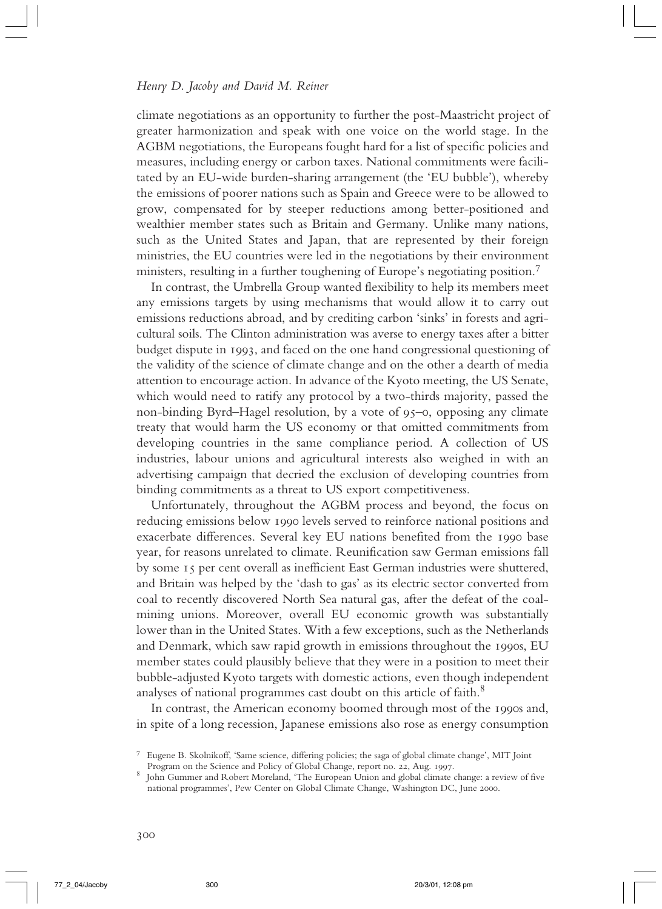climate negotiations as an opportunity to further the post-Maastricht project of greater harmonization and speak with one voice on the world stage. In the AGBM negotiations, the Europeans fought hard for a list of specific policies and measures, including energy or carbon taxes. National commitments were facilitated by an EU-wide burden-sharing arrangement (the 'EU bubble'), whereby the emissions of poorer nations such as Spain and Greece were to be allowed to grow, compensated for by steeper reductions among better-positioned and wealthier member states such as Britain and Germany. Unlike many nations, such as the United States and Japan, that are represented by their foreign ministries, the EU countries were led in the negotiations by their environment ministers, resulting in a further toughening of Europe's negotiating position.<sup>7</sup>

In contrast, the Umbrella Group wanted flexibility to help its members meet any emissions targets by using mechanisms that would allow it to carry out emissions reductions abroad, and by crediting carbon 'sinks' in forests and agricultural soils. The Clinton administration was averse to energy taxes after a bitter budget dispute in 1993, and faced on the one hand congressional questioning of the validity of the science of climate change and on the other a dearth of media attention to encourage action. In advance of the Kyoto meeting, the US Senate, which would need to ratify any protocol by a two-thirds majority, passed the non-binding Byrd–Hagel resolution, by a vote of 95–0, opposing any climate treaty that would harm the US economy or that omitted commitments from developing countries in the same compliance period. A collection of US industries, labour unions and agricultural interests also weighed in with an advertising campaign that decried the exclusion of developing countries from binding commitments as a threat to US export competitiveness.

Unfortunately, throughout the AGBM process and beyond, the focus on reducing emissions below 1990 levels served to reinforce national positions and exacerbate differences. Several key EU nations benefited from the 1990 base year, for reasons unrelated to climate. Reunification saw German emissions fall by some 15 per cent overall as inefficient East German industries were shuttered, and Britain was helped by the 'dash to gas' as its electric sector converted from coal to recently discovered North Sea natural gas, after the defeat of the coalmining unions. Moreover, overall EU economic growth was substantially lower than in the United States. With a few exceptions, such as the Netherlands and Denmark, which saw rapid growth in emissions throughout the 1990s, EU member states could plausibly believe that they were in a position to meet their bubble-adjusted Kyoto targets with domestic actions, even though independent analyses of national programmes cast doubt on this article of faith.<sup>8</sup>

In contrast, the American economy boomed through most of the 1990s and, in spite of a long recession, Japanese emissions also rose as energy consumption

<sup>7</sup> Eugene B. Skolnikoff, 'Same science, differing policies; the saga of global climate change', MIT Joint

 $8$  John Gummer and Robert Moreland, 'The European Union and global climate change: a review of five national programmes', Pew Center on Global Climate Change, Washington DC, June 2000.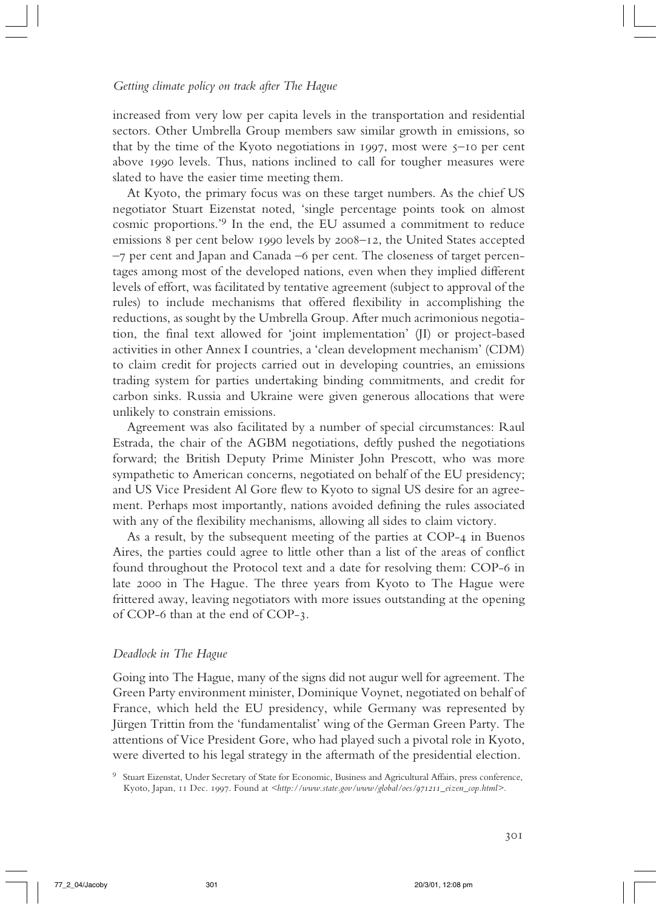increased from very low per capita levels in the transportation and residential sectors. Other Umbrella Group members saw similar growth in emissions, so that by the time of the Kyoto negotiations in 1997, most were  $5$ –10 per cent above 1990 levels. Thus, nations inclined to call for tougher measures were slated to have the easier time meeting them.

At Kyoto, the primary focus was on these target numbers. As the chief US negotiator Stuart Eizenstat noted, 'single percentage points took on almost cosmic proportions.'9 In the end, the EU assumed a commitment to reduce emissions 8 per cent below 1990 levels by 2008–12, the United States accepted –7 per cent and Japan and Canada –6 per cent. The closeness of target percentages among most of the developed nations, even when they implied different levels of effort, was facilitated by tentative agreement (subject to approval of the rules) to include mechanisms that offered flexibility in accomplishing the reductions, as sought by the Umbrella Group. After much acrimonious negotiation, the final text allowed for 'joint implementation' (JI) or project-based activities in other Annex I countries, a 'clean development mechanism' (CDM) to claim credit for projects carried out in developing countries, an emissions trading system for parties undertaking binding commitments, and credit for carbon sinks. Russia and Ukraine were given generous allocations that were unlikely to constrain emissions.

Agreement was also facilitated by a number of special circumstances: Raul Estrada, the chair of the AGBM negotiations, deftly pushed the negotiations forward; the British Deputy Prime Minister John Prescott, who was more sympathetic to American concerns, negotiated on behalf of the EU presidency; and US Vice President Al Gore flew to Kyoto to signal US desire for an agreement. Perhaps most importantly, nations avoided defining the rules associated with any of the flexibility mechanisms, allowing all sides to claim victory.

As a result, by the subsequent meeting of the parties at COP-4 in Buenos Aires, the parties could agree to little other than a list of the areas of conflict found throughout the Protocol text and a date for resolving them: COP-6 in late 2000 in The Hague. The three years from Kyoto to The Hague were frittered away, leaving negotiators with more issues outstanding at the opening of COP-6 than at the end of COP-3.

#### *Deadlock in The Hague*

Going into The Hague, many of the signs did not augur well for agreement. The Green Party environment minister, Dominique Voynet, negotiated on behalf of France, which held the EU presidency, while Germany was represented by Jürgen Trittin from the 'fundamentalist' wing of the German Green Party. The attentions of Vice President Gore, who had played such a pivotal role in Kyoto, were diverted to his legal strategy in the aftermath of the presidential election.

<sup>9</sup> Stuart Eizenstat, Under Secretary of State for Economic, Business and Agricultural Affairs, press conference, Kyoto, Japan, 11 Dec. 1997. Found at <http://www.state.gov/www/global/oes/971211\_eizen\_cop.html>.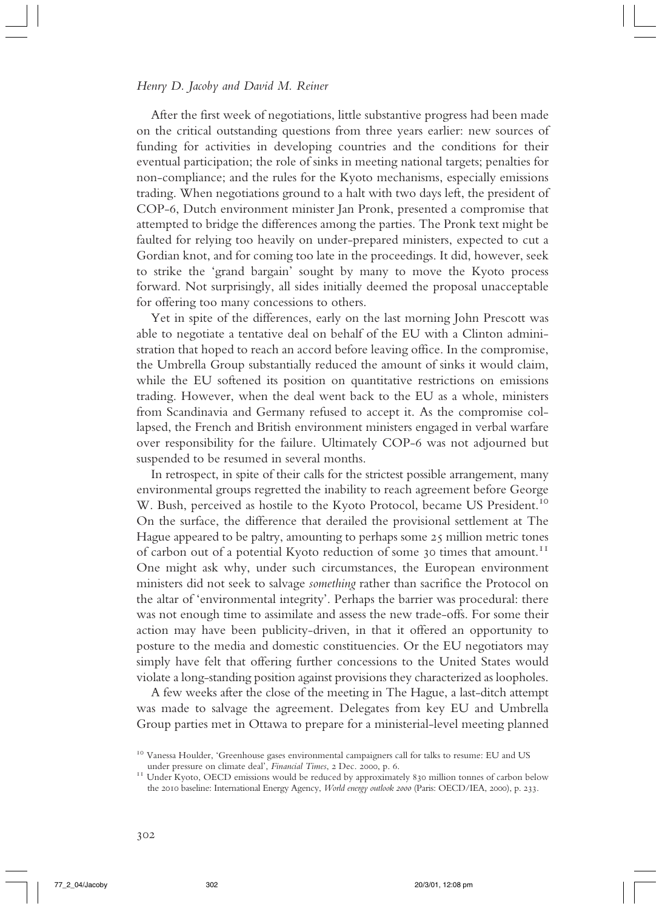After the first week of negotiations, little substantive progress had been made on the critical outstanding questions from three years earlier: new sources of funding for activities in developing countries and the conditions for their eventual participation; the role of sinks in meeting national targets; penalties for non-compliance; and the rules for the Kyoto mechanisms, especially emissions trading. When negotiations ground to a halt with two days left, the president of COP-6, Dutch environment minister Jan Pronk, presented a compromise that attempted to bridge the differences among the parties. The Pronk text might be faulted for relying too heavily on under-prepared ministers, expected to cut a Gordian knot, and for coming too late in the proceedings. It did, however, seek to strike the 'grand bargain' sought by many to move the Kyoto process forward. Not surprisingly, all sides initially deemed the proposal unacceptable for offering too many concessions to others.

Yet in spite of the differences, early on the last morning John Prescott was able to negotiate a tentative deal on behalf of the EU with a Clinton administration that hoped to reach an accord before leaving office. In the compromise, the Umbrella Group substantially reduced the amount of sinks it would claim, while the EU softened its position on quantitative restrictions on emissions trading. However, when the deal went back to the EU as a whole, ministers from Scandinavia and Germany refused to accept it. As the compromise collapsed, the French and British environment ministers engaged in verbal warfare over responsibility for the failure. Ultimately COP-6 was not adjourned but suspended to be resumed in several months.

In retrospect, in spite of their calls for the strictest possible arrangement, many environmental groups regretted the inability to reach agreement before George W. Bush, perceived as hostile to the Kyoto Protocol, became US President.10 On the surface, the difference that derailed the provisional settlement at The Hague appeared to be paltry, amounting to perhaps some 25 million metric tones of carbon out of a potential Kyoto reduction of some 30 times that amount.<sup>11</sup> One might ask why, under such circumstances, the European environment ministers did not seek to salvage *something* rather than sacrifice the Protocol on the altar of 'environmental integrity'. Perhaps the barrier was procedural: there was not enough time to assimilate and assess the new trade-offs. For some their action may have been publicity-driven, in that it offered an opportunity to posture to the media and domestic constituencies. Or the EU negotiators may simply have felt that offering further concessions to the United States would violate a long-standing position against provisions they characterized as loopholes.

A few weeks after the close of the meeting in The Hague, a last-ditch attempt was made to salvage the agreement. Delegates from key EU and Umbrella Group parties met in Ottawa to prepare for a ministerial-level meeting planned

<sup>&</sup>lt;sup>10</sup> Vanessa Houlder, 'Greenhouse gases environmental campaigners call for talks to resume: EU and US under pressure on climate deal', *Financial Times*,  $2$  Dec. 2000, p. 6.

<sup>&</sup>lt;sup>11</sup> Under Kyoto, OECD emissions would be reduced by approximately 830 million tonnes of carbon below the 2010 baseline: International Energy Agency, *World energy outlook 2000* (Paris: OECD/IEA, 2000), p. 233.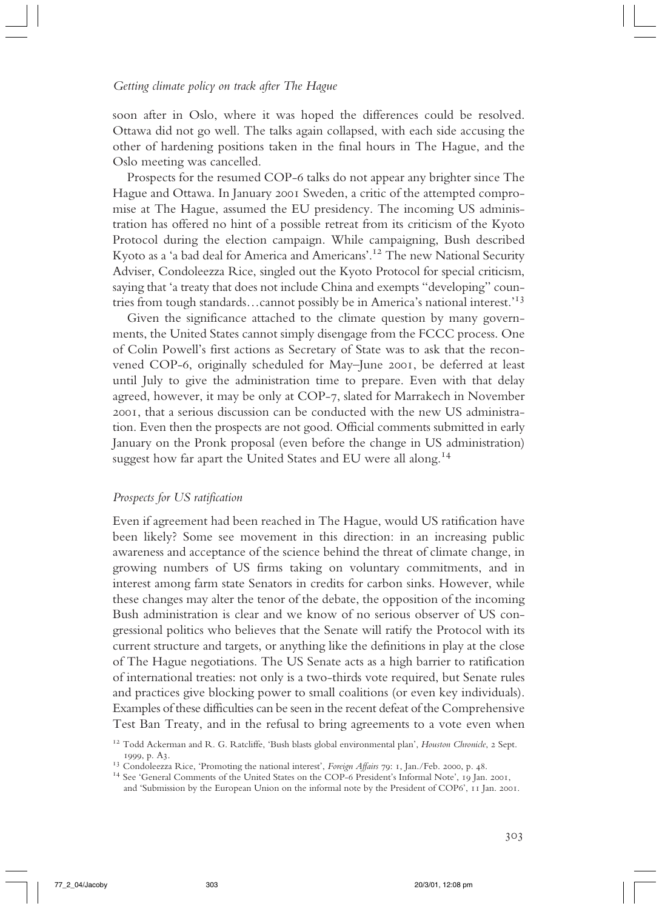soon after in Oslo, where it was hoped the differences could be resolved. Ottawa did not go well. The talks again collapsed, with each side accusing the other of hardening positions taken in the final hours in The Hague, and the Oslo meeting was cancelled.

Prospects for the resumed COP-6 talks do not appear any brighter since The Hague and Ottawa. In January 2001 Sweden, a critic of the attempted compromise at The Hague, assumed the EU presidency. The incoming US administration has offered no hint of a possible retreat from its criticism of the Kyoto Protocol during the election campaign. While campaigning, Bush described Kyoto as a 'a bad deal for America and Americans'.12 The new National Security Adviser, Condoleezza Rice, singled out the Kyoto Protocol for special criticism, saying that 'a treaty that does not include China and exempts "developing" countries from tough standards…cannot possibly be in America's national interest.'13

Given the significance attached to the climate question by many governments, the United States cannot simply disengage from the FCCC process. One of Colin Powell's first actions as Secretary of State was to ask that the reconvened COP-6, originally scheduled for May–June 2001, be deferred at least until July to give the administration time to prepare. Even with that delay agreed, however, it may be only at COP-7, slated for Marrakech in November 2001, that a serious discussion can be conducted with the new US administration. Even then the prospects are not good. Official comments submitted in early January on the Pronk proposal (even before the change in US administration) suggest how far apart the United States and EU were all along.<sup>14</sup>

# *Prospects for US ratification*

Even if agreement had been reached in The Hague, would US ratification have been likely? Some see movement in this direction: in an increasing public awareness and acceptance of the science behind the threat of climate change, in growing numbers of US firms taking on voluntary commitments, and in interest among farm state Senators in credits for carbon sinks. However, while these changes may alter the tenor of the debate, the opposition of the incoming Bush administration is clear and we know of no serious observer of US congressional politics who believes that the Senate will ratify the Protocol with its current structure and targets, or anything like the definitions in play at the close of The Hague negotiations. The US Senate acts as a high barrier to ratification of international treaties: not only is a two-thirds vote required, but Senate rules and practices give blocking power to small coalitions (or even key individuals). Examples of these difficulties can be seen in the recent defeat of the Comprehensive Test Ban Treaty, and in the refusal to bring agreements to a vote even when

<sup>12</sup> Todd Ackerman and R. G. Ratcliffe, 'Bush blasts global environmental plan', *Houston Chronicle*, 2 Sept.

<sup>1999,</sup> p. A3. 13 Condoleezza Rice, 'Promoting the national interest', *Foreign Affairs* 79: 1, Jan./Feb. 2000, p. 48.<br><sup>14</sup> See 'General Comments of the United States on the COP-6 President's Informal Note', 19 Jan. 2001,

and 'Submission by the European Union on the informal note by the President of COP6', 11 Jan. 2001.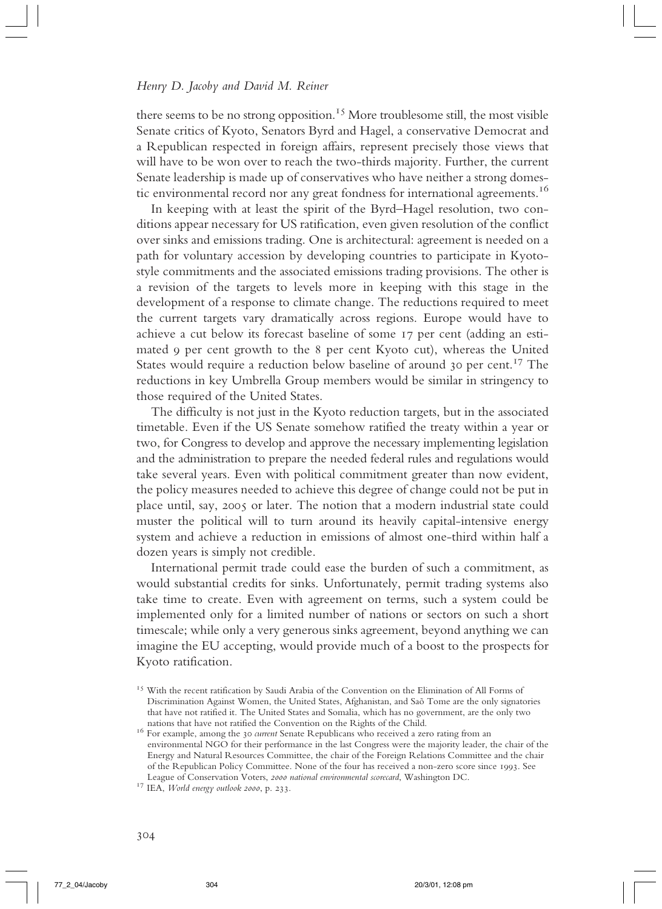there seems to be no strong opposition.<sup>15</sup> More troublesome still, the most visible Senate critics of Kyoto, Senators Byrd and Hagel, a conservative Democrat and a Republican respected in foreign affairs, represent precisely those views that will have to be won over to reach the two-thirds majority. Further, the current Senate leadership is made up of conservatives who have neither a strong domestic environmental record nor any great fondness for international agreements.<sup>16</sup>

In keeping with at least the spirit of the Byrd–Hagel resolution, two conditions appear necessary for US ratification, even given resolution of the conflict over sinks and emissions trading. One is architectural: agreement is needed on a path for voluntary accession by developing countries to participate in Kyotostyle commitments and the associated emissions trading provisions. The other is a revision of the targets to levels more in keeping with this stage in the development of a response to climate change. The reductions required to meet the current targets vary dramatically across regions. Europe would have to achieve a cut below its forecast baseline of some 17 per cent (adding an estimated 9 per cent growth to the 8 per cent Kyoto cut), whereas the United States would require a reduction below baseline of around 30 per cent.<sup>17</sup> The reductions in key Umbrella Group members would be similar in stringency to those required of the United States.

The difficulty is not just in the Kyoto reduction targets, but in the associated timetable. Even if the US Senate somehow ratified the treaty within a year or two, for Congress to develop and approve the necessary implementing legislation and the administration to prepare the needed federal rules and regulations would take several years. Even with political commitment greater than now evident, the policy measures needed to achieve this degree of change could not be put in place until, say, 2005 or later. The notion that a modern industrial state could muster the political will to turn around its heavily capital-intensive energy system and achieve a reduction in emissions of almost one-third within half a dozen years is simply not credible.

International permit trade could ease the burden of such a commitment, as would substantial credits for sinks. Unfortunately, permit trading systems also take time to create. Even with agreement on terms, such a system could be implemented only for a limited number of nations or sectors on such a short timescale; while only a very generous sinks agreement, beyond anything we can imagine the EU accepting, would provide much of a boost to the prospects for Kyoto ratification.

<sup>&</sup>lt;sup>15</sup> With the recent ratification by Saudi Arabia of the Convention on the Elimination of All Forms of Discrimination Against Women, the United States, Afghanistan, and Saõ Tome are the only signatories that have not ratified it. The United States and Somalia, which has no government, are the only two

nations that have not ratified the Convention on the Rights of the Child. <sup>16</sup> For example, among the 30 *current* Senate Republicans who received a zero rating from an environmental NGO for their performance in the last Congress were the majority leader, the chair of the Energy and Natural Resources Committee, the chair of the Foreign Relations Committee and the chair of the Republican Policy Committee. None of the four has received a non-zero score since 1993. See League of Conservation Voters, *2000 national environmental scorecard*, Washington DC. <sup>17</sup> IEA, *World energy outlook 2000*, p. 233.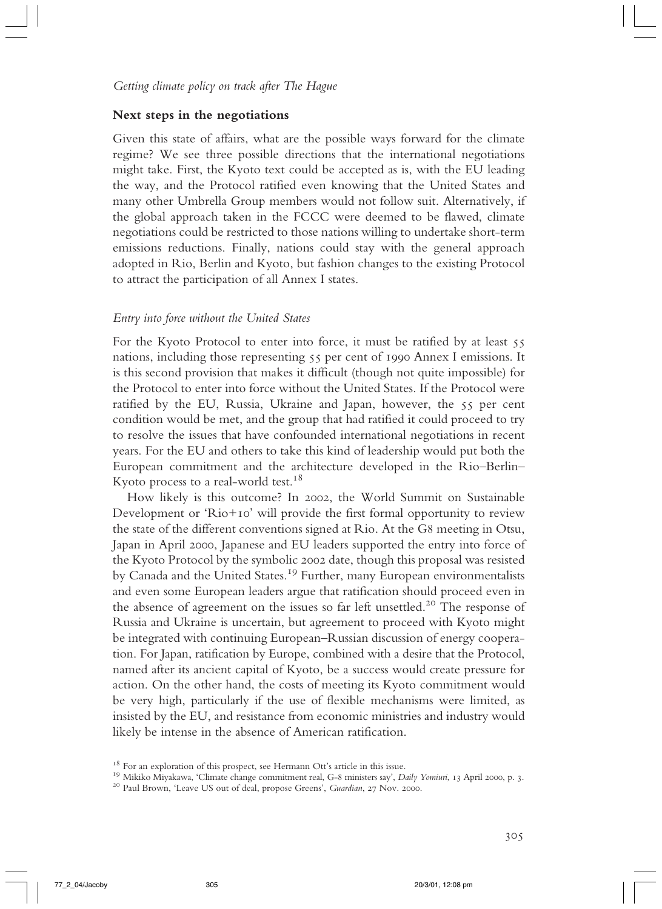## **Next steps in the negotiations**

Given this state of affairs, what are the possible ways forward for the climate regime? We see three possible directions that the international negotiations might take. First, the Kyoto text could be accepted as is, with the EU leading the way, and the Protocol ratified even knowing that the United States and many other Umbrella Group members would not follow suit. Alternatively, if the global approach taken in the FCCC were deemed to be flawed, climate negotiations could be restricted to those nations willing to undertake short-term emissions reductions. Finally, nations could stay with the general approach adopted in Rio, Berlin and Kyoto, but fashion changes to the existing Protocol to attract the participation of all Annex I states.

#### *Entry into force without the United States*

For the Kyoto Protocol to enter into force, it must be ratified by at least 55 nations, including those representing 55 per cent of 1990 Annex I emissions. It is this second provision that makes it difficult (though not quite impossible) for the Protocol to enter into force without the United States. If the Protocol were ratified by the EU, Russia, Ukraine and Japan, however, the 55 per cent condition would be met, and the group that had ratified it could proceed to try to resolve the issues that have confounded international negotiations in recent years. For the EU and others to take this kind of leadership would put both the European commitment and the architecture developed in the Rio–Berlin– Kyoto process to a real-world test.<sup>18</sup>

How likely is this outcome? In 2002, the World Summit on Sustainable Development or 'Rio+10' will provide the first formal opportunity to review the state of the different conventions signed at Rio. At the G8 meeting in Otsu, Japan in April 2000, Japanese and EU leaders supported the entry into force of the Kyoto Protocol by the symbolic 2002 date, though this proposal was resisted by Canada and the United States.<sup>19</sup> Further, many European environmentalists and even some European leaders argue that ratification should proceed even in the absence of agreement on the issues so far left unsettled.<sup>20</sup> The response of Russia and Ukraine is uncertain, but agreement to proceed with Kyoto might be integrated with continuing European–Russian discussion of energy cooperation. For Japan, ratification by Europe, combined with a desire that the Protocol, named after its ancient capital of Kyoto, be a success would create pressure for action. On the other hand, the costs of meeting its Kyoto commitment would be very high, particularly if the use of flexible mechanisms were limited, as insisted by the EU, and resistance from economic ministries and industry would likely be intense in the absence of American ratification.

<sup>&</sup>lt;sup>18</sup> For an exploration of this prospect, see Hermann Ott's article in this issue.<br><sup>19</sup> Mikiko Miyakawa, 'Climate change commitment real, G-8 ministers say', *Daily Yomiuri*, 13 April 2000, p. 3.<br><sup>20</sup> Paul Brown, 'Leave US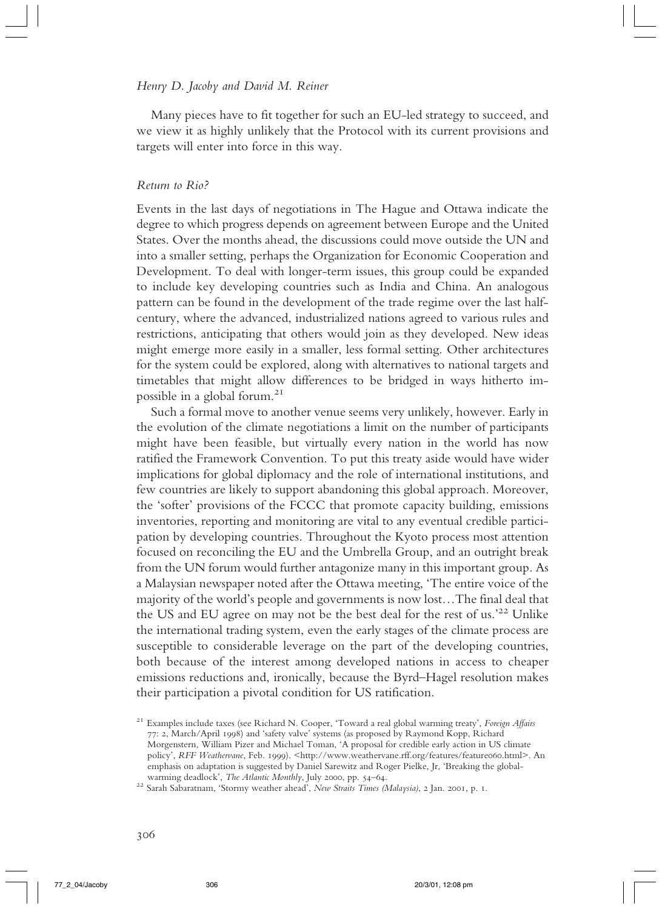Many pieces have to fit together for such an EU-led strategy to succeed, and we view it as highly unlikely that the Protocol with its current provisions and targets will enter into force in this way.

## *Return to Rio?*

Events in the last days of negotiations in The Hague and Ottawa indicate the degree to which progress depends on agreement between Europe and the United States. Over the months ahead, the discussions could move outside the UN and into a smaller setting, perhaps the Organization for Economic Cooperation and Development. To deal with longer-term issues, this group could be expanded to include key developing countries such as India and China. An analogous pattern can be found in the development of the trade regime over the last halfcentury, where the advanced, industrialized nations agreed to various rules and restrictions, anticipating that others would join as they developed. New ideas might emerge more easily in a smaller, less formal setting. Other architectures for the system could be explored, along with alternatives to national targets and timetables that might allow differences to be bridged in ways hitherto impossible in a global forum.<sup>21</sup>

Such a formal move to another venue seems very unlikely, however. Early in the evolution of the climate negotiations a limit on the number of participants might have been feasible, but virtually every nation in the world has now ratified the Framework Convention. To put this treaty aside would have wider implications for global diplomacy and the role of international institutions, and few countries are likely to support abandoning this global approach. Moreover, the 'softer' provisions of the FCCC that promote capacity building, emissions inventories, reporting and monitoring are vital to any eventual credible participation by developing countries. Throughout the Kyoto process most attention focused on reconciling the EU and the Umbrella Group, and an outright break from the UN forum would further antagonize many in this important group. As a Malaysian newspaper noted after the Ottawa meeting, 'The entire voice of the majority of the world's people and governments is now lost…The final deal that the US and EU agree on may not be the best deal for the rest of us.'22 Unlike the international trading system, even the early stages of the climate process are susceptible to considerable leverage on the part of the developing countries, both because of the interest among developed nations in access to cheaper emissions reductions and, ironically, because the Byrd–Hagel resolution makes their participation a pivotal condition for US ratification.

<sup>21</sup> Examples include taxes (see Richard N. Cooper, 'Toward a real global warming treaty', *Foreign Affairs* 77: 2, March/April 1998) and 'safety valve' systems (as proposed by Raymond Kopp, Richard Morgenstern, William Pizer and Michael Toman, 'A proposal for credible early action in US climate policy', *RFF Weathervane*, Feb. 1999). <http://www.weathervane.rff.org/features/feature060.html>. An emphasis on adaptation is suggested by Daniel Sarewitz and Roger Pielke, Jr, 'Breaking the global-

warming deadlock', *The Atlantic Monthly*, July 2000, pp. 54–64. <sup>22</sup> Sarah Sabaratnam, 'Stormy weather ahead', *New Straits Times (Malaysia)*, 2 Jan. 2001, p. 1.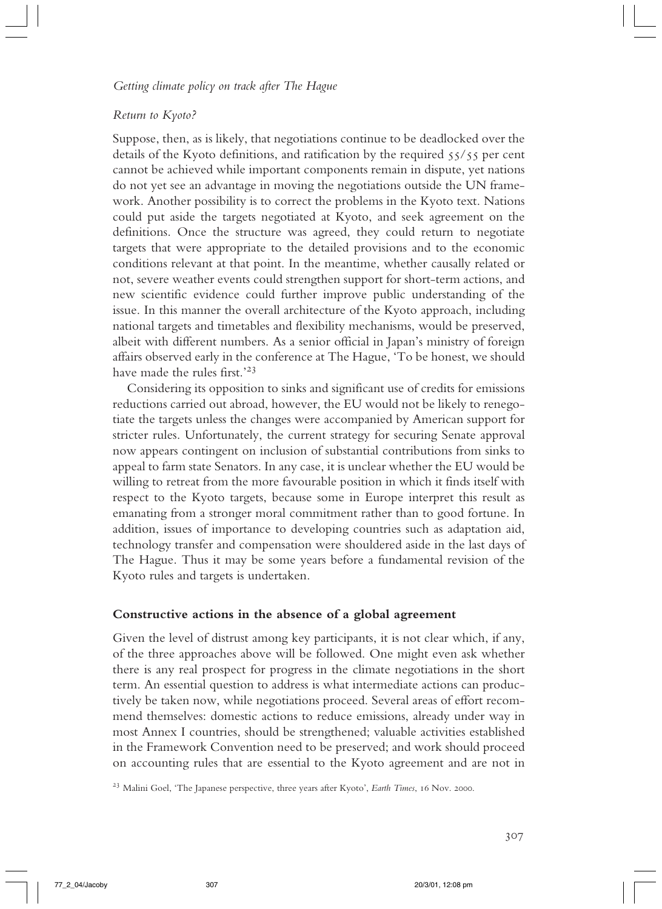# *Return to Kyoto?*

Suppose, then, as is likely, that negotiations continue to be deadlocked over the details of the Kyoto definitions, and ratification by the required 55/55 per cent cannot be achieved while important components remain in dispute, yet nations do not yet see an advantage in moving the negotiations outside the UN framework. Another possibility is to correct the problems in the Kyoto text. Nations could put aside the targets negotiated at Kyoto, and seek agreement on the definitions. Once the structure was agreed, they could return to negotiate targets that were appropriate to the detailed provisions and to the economic conditions relevant at that point. In the meantime, whether causally related or not, severe weather events could strengthen support for short-term actions, and new scientific evidence could further improve public understanding of the issue. In this manner the overall architecture of the Kyoto approach, including national targets and timetables and flexibility mechanisms, would be preserved, albeit with different numbers. As a senior official in Japan's ministry of foreign affairs observed early in the conference at The Hague, 'To be honest, we should have made the rules first.<sup>'23</sup>

Considering its opposition to sinks and significant use of credits for emissions reductions carried out abroad, however, the EU would not be likely to renegotiate the targets unless the changes were accompanied by American support for stricter rules. Unfortunately, the current strategy for securing Senate approval now appears contingent on inclusion of substantial contributions from sinks to appeal to farm state Senators. In any case, it is unclear whether the EU would be willing to retreat from the more favourable position in which it finds itself with respect to the Kyoto targets, because some in Europe interpret this result as emanating from a stronger moral commitment rather than to good fortune. In addition, issues of importance to developing countries such as adaptation aid, technology transfer and compensation were shouldered aside in the last days of The Hague. Thus it may be some years before a fundamental revision of the Kyoto rules and targets is undertaken.

## **Constructive actions in the absence of a global agreement**

Given the level of distrust among key participants, it is not clear which, if any, of the three approaches above will be followed. One might even ask whether there is any real prospect for progress in the climate negotiations in the short term. An essential question to address is what intermediate actions can productively be taken now, while negotiations proceed. Several areas of effort recommend themselves: domestic actions to reduce emissions, already under way in most Annex I countries, should be strengthened; valuable activities established in the Framework Convention need to be preserved; and work should proceed on accounting rules that are essential to the Kyoto agreement and are not in

<sup>23</sup> Malini Goel, 'The Japanese perspective, three years after Kyoto', *Earth Times*, 16 Nov. 2000.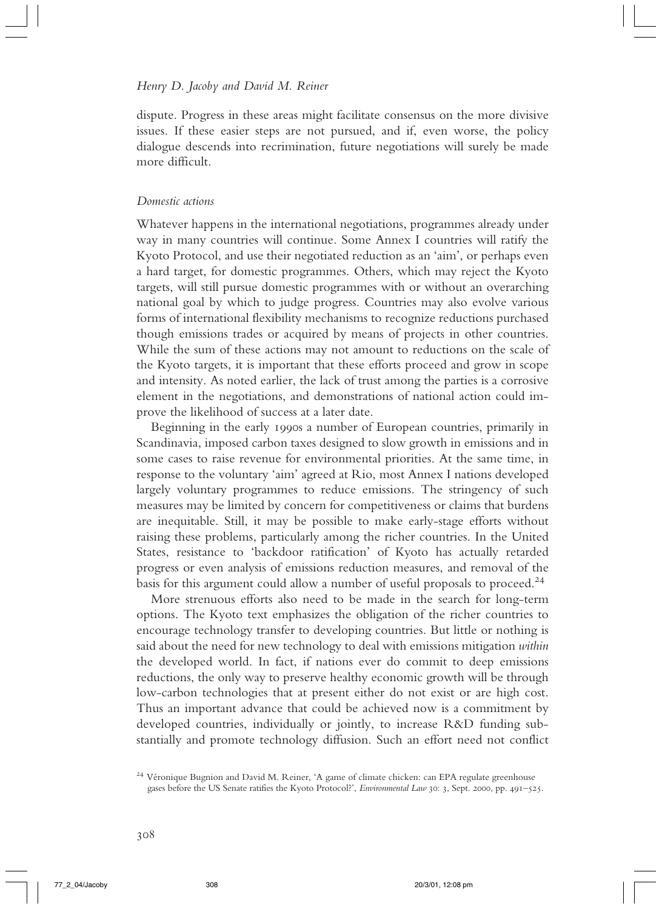dispute. Progress in these areas might facilitate consensus on the more divisive issues. If these easier steps are not pursued, and if, even worse, the policy dialogue descends into recrimination, future negotiations will surely be made more difficult.

## *Domestic actions*

Whatever happens in the international negotiations, programmes already under way in many countries will continue. Some Annex I countries will ratify the Kyoto Protocol, and use their negotiated reduction as an 'aim', or perhaps even a hard target, for domestic programmes. Others, which may reject the Kyoto targets, will still pursue domestic programmes with or without an overarching national goal by which to judge progress. Countries may also evolve various forms of international flexibility mechanisms to recognize reductions purchased though emissions trades or acquired by means of projects in other countries. While the sum of these actions may not amount to reductions on the scale of the Kyoto targets, it is important that these efforts proceed and grow in scope and intensity. As noted earlier, the lack of trust among the parties is a corrosive element in the negotiations, and demonstrations of national action could improve the likelihood of success at a later date.

Beginning in the early 1990s a number of European countries, primarily in Scandinavia, imposed carbon taxes designed to slow growth in emissions and in some cases to raise revenue for environmental priorities. At the same time, in response to the voluntary 'aim' agreed at Rio, most Annex I nations developed largely voluntary programmes to reduce emissions. The stringency of such measures may be limited by concern for competitiveness or claims that burdens are inequitable. Still, it may be possible to make early-stage efforts without raising these problems, particularly among the richer countries. In the United States, resistance to 'backdoor ratification' of Kyoto has actually retarded progress or even analysis of emissions reduction measures, and removal of the basis for this argument could allow a number of useful proposals to proceed.<sup>24</sup>

More strenuous efforts also need to be made in the search for long-term options. The Kyoto text emphasizes the obligation of the richer countries to encourage technology transfer to developing countries. But little or nothing is said about the need for new technology to deal with emissions mitigation *within* the developed world. In fact, if nations ever do commit to deep emissions reductions, the only way to preserve healthy economic growth will be through low-carbon technologies that at present either do not exist or are high cost. Thus an important advance that could be achieved now is a commitment by developed countries, individually or jointly, to increase R&D funding substantially and promote technology diffusion. Such an effort need not conflict

<sup>&</sup>lt;sup>24</sup> Véronique Bugnion and David M. Reiner, 'A game of climate chicken: can EPA regulate greenhouse gases before the US Senate ratifies the Kyoto Protocol?', *Environmental Law* 30: 3, Sept. 2000, pp. 491–525.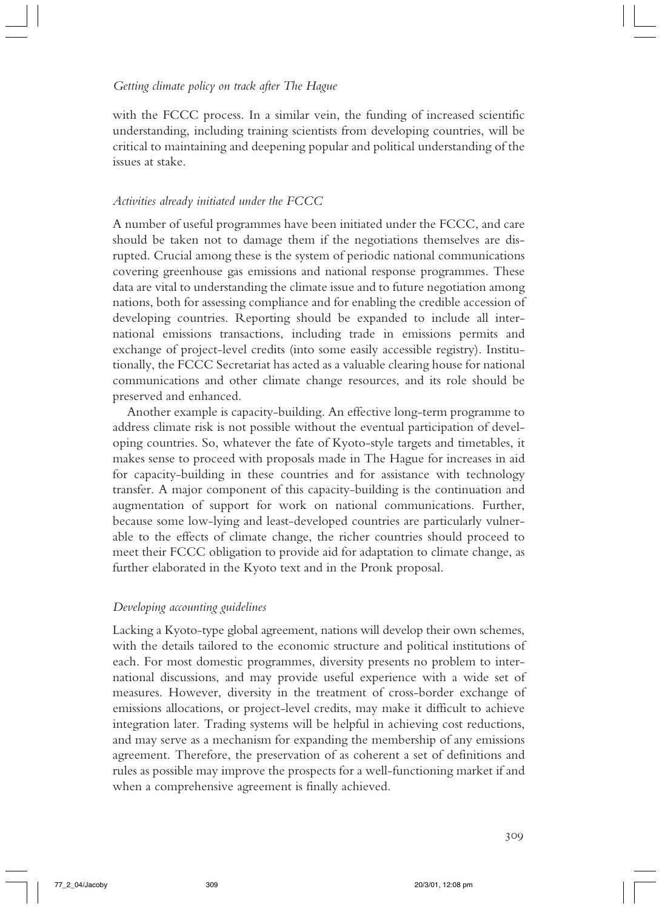with the FCCC process. In a similar vein, the funding of increased scientific understanding, including training scientists from developing countries, will be critical to maintaining and deepening popular and political understanding of the issues at stake.

# *Activities already initiated under the FCCC*

A number of useful programmes have been initiated under the FCCC, and care should be taken not to damage them if the negotiations themselves are disrupted. Crucial among these is the system of periodic national communications covering greenhouse gas emissions and national response programmes. These data are vital to understanding the climate issue and to future negotiation among nations, both for assessing compliance and for enabling the credible accession of developing countries. Reporting should be expanded to include all international emissions transactions, including trade in emissions permits and exchange of project-level credits (into some easily accessible registry). Institutionally, the FCCC Secretariat has acted as a valuable clearing house for national communications and other climate change resources, and its role should be preserved and enhanced.

Another example is capacity-building. An effective long-term programme to address climate risk is not possible without the eventual participation of developing countries. So, whatever the fate of Kyoto-style targets and timetables, it makes sense to proceed with proposals made in The Hague for increases in aid for capacity-building in these countries and for assistance with technology transfer. A major component of this capacity-building is the continuation and augmentation of support for work on national communications. Further, because some low-lying and least-developed countries are particularly vulnerable to the effects of climate change, the richer countries should proceed to meet their FCCC obligation to provide aid for adaptation to climate change, as further elaborated in the Kyoto text and in the Pronk proposal.

## *Developing accounting guidelines*

Lacking a Kyoto-type global agreement, nations will develop their own schemes, with the details tailored to the economic structure and political institutions of each. For most domestic programmes, diversity presents no problem to international discussions, and may provide useful experience with a wide set of measures. However, diversity in the treatment of cross-border exchange of emissions allocations, or project-level credits, may make it difficult to achieve integration later. Trading systems will be helpful in achieving cost reductions, and may serve as a mechanism for expanding the membership of any emissions agreement. Therefore, the preservation of as coherent a set of definitions and rules as possible may improve the prospects for a well-functioning market if and when a comprehensive agreement is finally achieved.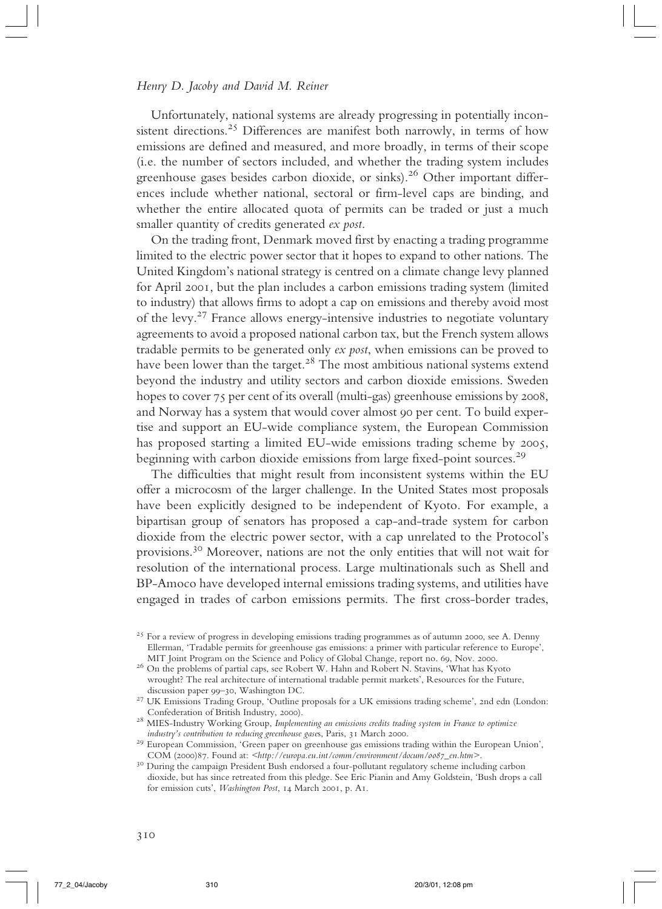Unfortunately, national systems are already progressing in potentially inconsistent directions.<sup>25</sup> Differences are manifest both narrowly, in terms of how emissions are defined and measured, and more broadly, in terms of their scope (i.e. the number of sectors included, and whether the trading system includes greenhouse gases besides carbon dioxide, or sinks).<sup>26</sup> Other important differences include whether national, sectoral or firm-level caps are binding, and whether the entire allocated quota of permits can be traded or just a much smaller quantity of credits generated *ex post*.

On the trading front, Denmark moved first by enacting a trading programme limited to the electric power sector that it hopes to expand to other nations. The United Kingdom's national strategy is centred on a climate change levy planned for April 2001, but the plan includes a carbon emissions trading system (limited to industry) that allows firms to adopt a cap on emissions and thereby avoid most of the levy.<sup>27</sup> France allows energy-intensive industries to negotiate voluntary agreements to avoid a proposed national carbon tax, but the French system allows tradable permits to be generated only *ex post*, when emissions can be proved to have been lower than the target. $^{28}$  The most ambitious national systems extend beyond the industry and utility sectors and carbon dioxide emissions. Sweden hopes to cover 75 per cent of its overall (multi-gas) greenhouse emissions by 2008, and Norway has a system that would cover almost 90 per cent. To build expertise and support an EU-wide compliance system, the European Commission has proposed starting a limited EU-wide emissions trading scheme by 2005, beginning with carbon dioxide emissions from large fixed-point sources.<sup>29</sup>

The difficulties that might result from inconsistent systems within the EU offer a microcosm of the larger challenge. In the United States most proposals have been explicitly designed to be independent of Kyoto. For example, a bipartisan group of senators has proposed a cap-and-trade system for carbon dioxide from the electric power sector, with a cap unrelated to the Protocol's provisions.30 Moreover, nations are not the only entities that will not wait for resolution of the international process. Large multinationals such as Shell and BP-Amoco have developed internal emissions trading systems, and utilities have engaged in trades of carbon emissions permits. The first cross-border trades,

26 On the problems of partial caps, see Robert W. Hahn and Robert N. Stavins, 'What has Kyoto wrought? The real architecture of international tradable permit markets', Resources for the Future,

<sup>&</sup>lt;sup>25</sup> For a review of progress in developing emissions trading programmes as of autumn 2000, see A. Denny Ellerman, 'Tradable permits for greenhouse gas emissions: a primer with particular reference to Europe',

discussion paper 99–30, Washington DC.<br><sup>27</sup> UK Emissions Trading Group, 'Outline proposals for a UK emissions trading scheme', 2nd edn (London:<br>Confederation of British Industry, 2000).

<sup>&</sup>lt;sup>28</sup> MIES-Industry Working Group, *Implementing an emissions credits trading system in France to optimize* 

*industry's contribution to reducing greenhouse gases*, Paris, 31 March 2000.<br><sup>29</sup> European Commission, 'Green paper on greenhouse gas emissions trading within the European Union',<br>COM (2000)87. Found at: <*http://europa.e* 

<sup>&</sup>lt;sup>30</sup> During the campaign President Bush endorsed a four-pollutant regulatory scheme including carbon dioxide, but has since retreated from this pledge. See Eric Pianin and Amy Goldstein, 'Bush drops a call for emission cuts', *Washington Post*, 14 March 2001, p. A1.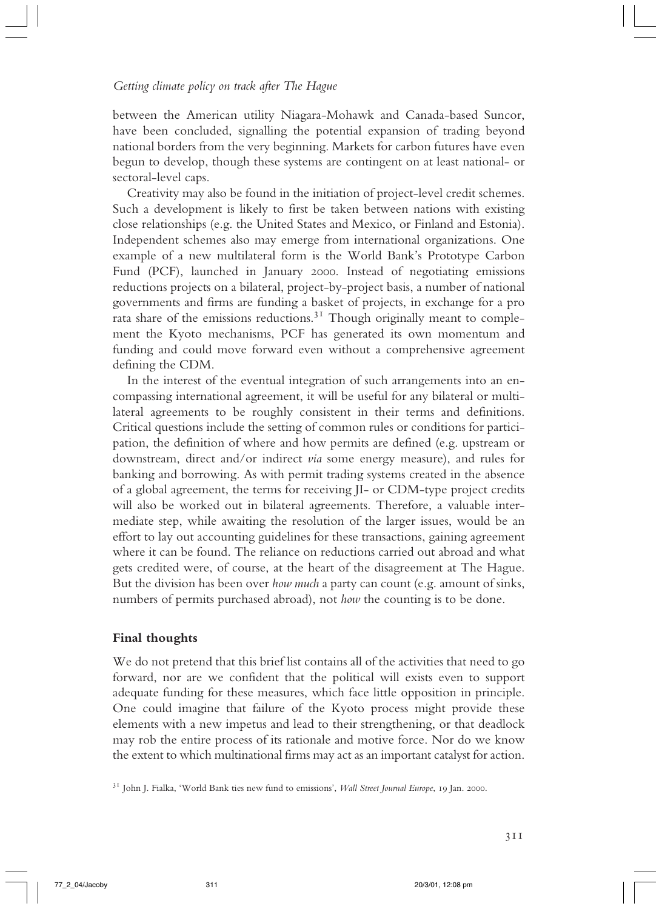between the American utility Niagara-Mohawk and Canada-based Suncor, have been concluded, signalling the potential expansion of trading beyond national borders from the very beginning. Markets for carbon futures have even begun to develop, though these systems are contingent on at least national- or sectoral-level caps.

Creativity may also be found in the initiation of project-level credit schemes. Such a development is likely to first be taken between nations with existing close relationships (e.g. the United States and Mexico, or Finland and Estonia). Independent schemes also may emerge from international organizations. One example of a new multilateral form is the World Bank's Prototype Carbon Fund (PCF), launched in January 2000. Instead of negotiating emissions reductions projects on a bilateral, project-by-project basis, a number of national governments and firms are funding a basket of projects, in exchange for a pro rata share of the emissions reductions.<sup>31</sup> Though originally meant to complement the Kyoto mechanisms, PCF has generated its own momentum and funding and could move forward even without a comprehensive agreement defining the CDM.

In the interest of the eventual integration of such arrangements into an encompassing international agreement, it will be useful for any bilateral or multilateral agreements to be roughly consistent in their terms and definitions. Critical questions include the setting of common rules or conditions for participation, the definition of where and how permits are defined (e.g. upstream or downstream, direct and/or indirect *via* some energy measure), and rules for banking and borrowing. As with permit trading systems created in the absence of a global agreement, the terms for receiving JI- or CDM-type project credits will also be worked out in bilateral agreements. Therefore, a valuable intermediate step, while awaiting the resolution of the larger issues, would be an effort to lay out accounting guidelines for these transactions, gaining agreement where it can be found. The reliance on reductions carried out abroad and what gets credited were, of course, at the heart of the disagreement at The Hague. But the division has been over *how much* a party can count (e.g. amount of sinks, numbers of permits purchased abroad), not *how* the counting is to be done.

# **Final thoughts**

We do not pretend that this brief list contains all of the activities that need to go forward, nor are we confident that the political will exists even to support adequate funding for these measures, which face little opposition in principle. One could imagine that failure of the Kyoto process might provide these elements with a new impetus and lead to their strengthening, or that deadlock may rob the entire process of its rationale and motive force. Nor do we know the extent to which multinational firms may act as an important catalyst for action.

<sup>31</sup> John J. Fialka, 'World Bank ties new fund to emissions', *Wall Street Journal Europe*, 19 Jan. 2000.